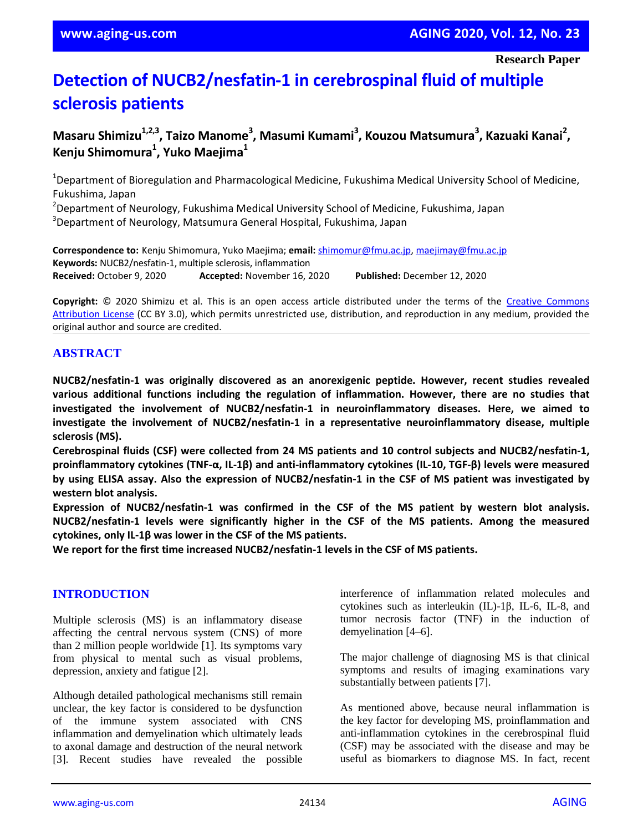**Research Paper**

# **Detection of NUCB2/nesfatin-1 in cerebrospinal fluid of multiple sclerosis patients**

# $M$ asaru Shimizu<sup>1,2,3</sup>, Taizo Manome<sup>3</sup>, Masumi Kumami<sup>3</sup>, Kouzou Matsumura<sup>3</sup>, Kazuaki Kanai<sup>2</sup>, **Kenju Shimomura<sup>1</sup> , Yuko Maejima<sup>1</sup>**

<sup>1</sup>Department of Bioregulation and Pharmacological Medicine, Fukushima Medical University School of Medicine, Fukushima, Japan

<sup>2</sup>Department of Neurology, Fukushima Medical University School of Medicine, Fukushima, Japan <sup>3</sup>Department of Neurology, Matsumura General Hospital, Fukushima, Japan

**Correspondence to:** Kenju Shimomura, Yuko Maejima; **email:** shimomur@fmu.ac.jp, maejimay@fmu.ac.jp **Keywords:** NUCB2/nesfatin-1, multiple sclerosis, inflammation **Received:** October 9, 2020 **Accepted:** November 16, 2020 **Published:** December 12, 2020

**Copyright:** © 2020 Shimizu et al. This is an open access article distributed under the terms of the Creative Commons Attribution License (CC BY 3.0), which permits unrestricted use, distribution, and reproduction in any medium, provided the original author and source are credited.

# **ABSTRACT**

**NUCB2/nesfatin-1 was originally discovered as an anorexigenic peptide. However, recent studies revealed various additional functions including the regulation of inflammation. However, there are no studies that investigated the involvement of NUCB2/nesfatin-1 in neuroinflammatory diseases. Here, we aimed to investigate the involvement of NUCB2/nesfatin-1 in a representative neuroinflammatory disease, multiple sclerosis (MS).**

**Cerebrospinal fluids (CSF) were collected from 24 MS patients and 10 control subjects and NUCB2/nesfatin-1,** proinflammatory cytokines (TNF- $\alpha$ , IL-1 $\beta$ ) and anti-inflammatory cytokines (IL-10, TGF- $\beta$ ) levels were measured by using ELISA assay. Also the expression of NUCB2/nesfatin-1 in the CSF of MS patient was investigated by **western blot analysis.**

**Expression of NUCB2/nesfatin-1 was confirmed in the CSF of the MS patient by western blot analysis. NUCB2/nesfatin-1 levels were significantly higher in the CSF of the MS patients. Among the measured cytokines, only IL-1β was lower in the CSF of the MS patients.**

**We report for the first time increased NUCB2/nesfatin-1 levels in the CSF of MS patients.**

# **INTRODUCTION**

Multiple sclerosis (MS) is an inflammatory disease affecting the central nervous system (CNS) of more than 2 million people worldwide [1]. Its symptoms vary from physical to mental such as visual problems, depression, anxiety and fatigue [2].

Although detailed pathological mechanisms still remain unclear, the key factor is considered to be dysfunction of the immune system associated with CNS inflammation and demyelination which ultimately leads to axonal damage and destruction of the neural network [3]. Recent studies have revealed the possible

interference of inflammation related molecules and cytokines such as interleukin (IL)-1β, IL-6, IL-8, and tumor necrosis factor (TNF) in the induction of demyelination [4–6].

The major challenge of diagnosing MS is that clinical symptoms and results of imaging examinations vary substantially between patients [7].

As mentioned above, because neural inflammation is the key factor for developing MS, proinflammation and anti-inflammation cytokines in the cerebrospinal fluid (CSF) may be associated with the disease and may be useful as biomarkers to diagnose MS. In fact, recent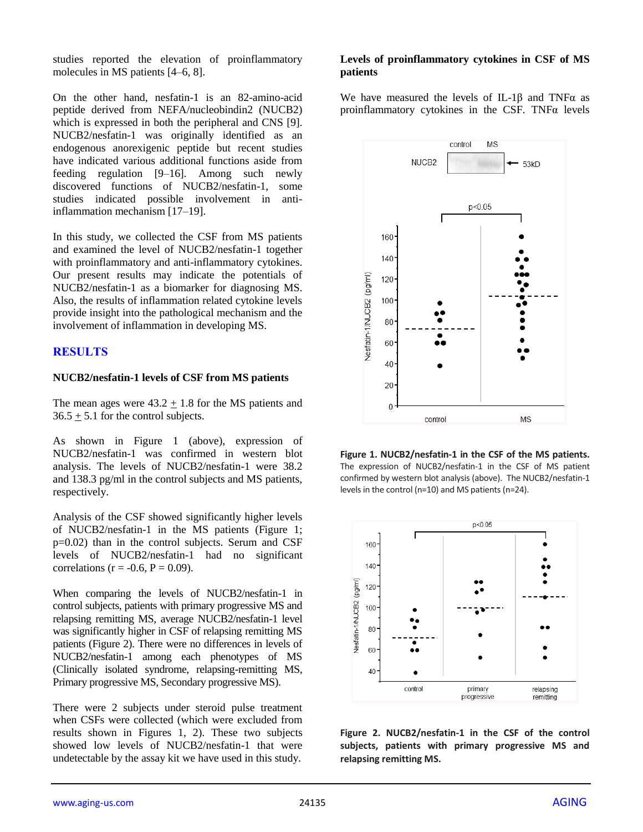studies reported the elevation of proinflammatory molecules in MS patients [4–6, 8].

On the other hand, nesfatin-1 is an 82-amino-acid peptide derived from NEFA/nucleobindin2 (NUCB2) which is expressed in both the peripheral and CNS [9]. NUCB2/nesfatin-1 was originally identified as an endogenous anorexigenic peptide but recent studies have indicated various additional functions aside from feeding regulation [9–16]. Among such newly discovered functions of NUCB2/nesfatin-1, some studies indicated possible involvement in antiinflammation mechanism [17–19].

In this study, we collected the CSF from MS patients and examined the level of NUCB2/nesfatin-1 together with proinflammatory and anti-inflammatory cytokines. Our present results may indicate the potentials of NUCB2/nesfatin-1 as a biomarker for diagnosing MS. Also, the results of inflammation related cytokine levels provide insight into the pathological mechanism and the involvement of inflammation in developing MS.

# **RESULTS**

#### **NUCB2/nesfatin-1 levels of CSF from MS patients**

The mean ages were  $43.2 \pm 1.8$  for the MS patients and  $36.5 \pm 5.1$  for the control subjects.

As shown in Figure 1 (above), expression of NUCB2/nesfatin-1 was confirmed in western blot analysis. The levels of NUCB2/nesfatin-1 were 38.2 and 138.3 pg/ml in the control subjects and MS patients, respectively.

Analysis of the CSF showed significantly higher levels of NUCB2/nesfatin-1 in the MS patients (Figure 1; p=0.02) than in the control subjects. Serum and CSF levels of NUCB2/nesfatin-1 had no significant correlations ( $r = -0.6$ ,  $P = 0.09$ ).

When comparing the levels of NUCB2/nesfatin-1 in control subjects, patients with primary progressive MS and relapsing remitting MS, average NUCB2/nesfatin-1 level was significantly higher in CSF of relapsing remitting MS patients (Figure 2). There were no differences in levels of NUCB2/nesfatin-1 among each phenotypes of MS (Clinically isolated syndrome, relapsing-remitting MS, Primary progressive MS, Secondary progressive MS).

There were 2 subjects under steroid pulse treatment when CSFs were collected (which were excluded from results shown in Figures 1, 2). These two subjects showed low levels of NUCB2/nesfatin-1 that were undetectable by the assay kit we have used in this study.

#### **Levels of proinflammatory cytokines in CSF of MS patients**

We have measured the levels of IL-1 $\beta$  and TNF $\alpha$  as proinflammatory cytokines in the CSF. TNFα levels



**Figure 1. NUCB2/nesfatin-1 in the CSF of the MS patients.**  The expression of NUCB2/nesfatin-1 in the CSF of MS patient confirmed by western blot analysis (above). The NUCB2/nesfatin-1 levels in the control (n=10) and MS patients (n=24).



**Figure 2. NUCB2/nesfatin-1 in the CSF of the control subjects, patients with primary progressive MS and relapsing remitting MS.**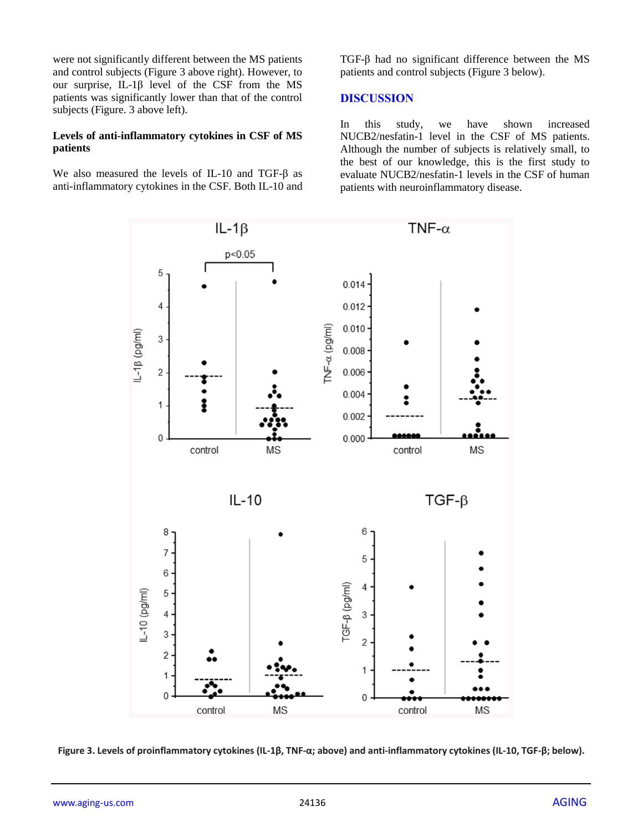were not significantly different between the MS patients and control subjects (Figure 3 above right). However, to our surprise, IL-1β level of the CSF from the MS patients was significantly lower than that of the control subjects (Figure. 3 above left).

#### **Levels of anti-inflammatory cytokines in CSF of MS patients**

We also measured the levels of IL-10 and TGF-β as anti-inflammatory cytokines in the CSF. Both IL-10 and TGF-β had no significant difference between the MS patients and control subjects (Figure 3 below).

#### **DISCUSSION**

In this study, we have shown increased NUCB2/nesfatin-1 level in the CSF of MS patients. Although the number of subjects is relatively small, to the best of our knowledge, this is the first study to evaluate NUCB2/nesfatin-1 levels in the CSF of human patients with neuroinflammatory disease.



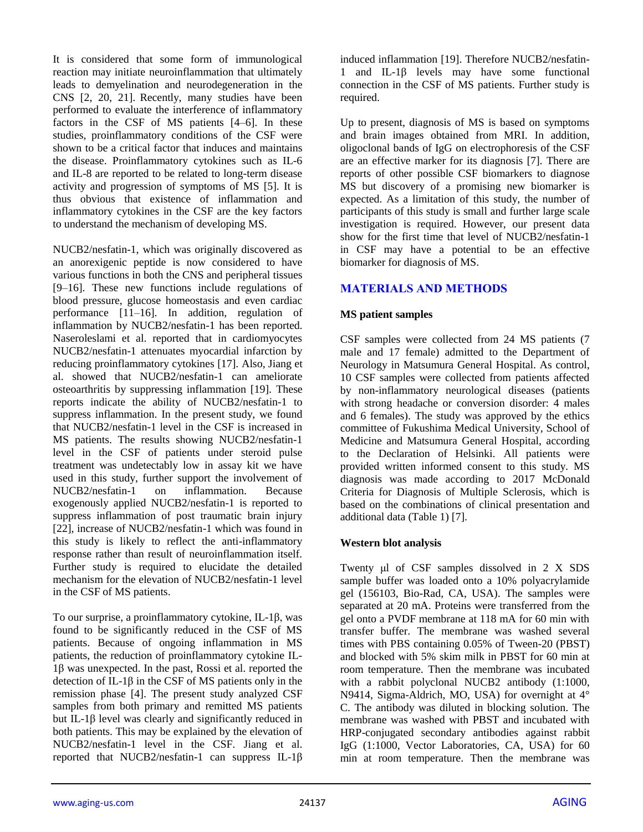It is considered that some form of immunological reaction may initiate neuroinflammation that ultimately leads to demyelination and neurodegeneration in the CNS [2, 20, 21]. Recently, many studies have been performed to evaluate the interference of inflammatory factors in the CSF of MS patients [4–6]. In these studies, proinflammatory conditions of the CSF were shown to be a critical factor that induces and maintains the disease. Proinflammatory cytokines such as IL-6 and IL-8 are reported to be related to long-term disease activity and progression of symptoms of MS [5]. It is thus obvious that existence of inflammation and inflammatory cytokines in the CSF are the key factors to understand the mechanism of developing MS.

NUCB2/nesfatin-1, which was originally discovered as an anorexigenic peptide is now considered to have various functions in both the CNS and peripheral tissues [9–16]. These new functions include regulations of blood pressure, glucose homeostasis and even cardiac performance [11–16]. In addition, regulation of inflammation by NUCB2/nesfatin-1 has been reported. Naseroleslami et al. reported that in cardiomyocytes NUCB2/nesfatin-1 attenuates myocardial infarction by reducing proinflammatory cytokines [17]. Also, Jiang et al. showed that NUCB2/nesfatin-1 can ameliorate osteoarthritis by suppressing inflammation [19]. These reports indicate the ability of NUCB2/nesfatin-1 to suppress inflammation. In the present study, we found that NUCB2/nesfatin-1 level in the CSF is increased in MS patients. The results showing NUCB2/nesfatin-1 level in the CSF of patients under steroid pulse treatment was undetectably low in assay kit we have used in this study, further support the involvement of NUCB2/nesfatin-1 on inflammation. Because exogenously applied NUCB2/nesfatin-1 is reported to suppress inflammation of post traumatic brain injury [22], increase of NUCB2/nesfatin-1 which was found in this study is likely to reflect the anti-inflammatory response rather than result of neuroinflammation itself. Further study is required to elucidate the detailed mechanism for the elevation of NUCB2/nesfatin-1 level in the CSF of MS patients.

To our surprise, a proinflammatory cytokine, IL-1β, was found to be significantly reduced in the CSF of MS patients. Because of ongoing inflammation in MS patients, the reduction of proinflammatory cytokine IL-1β was unexpected. In the past, Rossi et al. reported the detection of IL-1 $\beta$  in the CSF of MS patients only in the remission phase [4]. The present study analyzed CSF samples from both primary and remitted MS patients but IL-1β level was clearly and significantly reduced in both patients. This may be explained by the elevation of NUCB2/nesfatin-1 level in the CSF. Jiang et al. reported that NUCB2/nesfatin-1 can suppress IL-1β

induced inflammation [19]. Therefore NUCB2/nesfatin-1 and IL-1β levels may have some functional connection in the CSF of MS patients. Further study is required.

Up to present, diagnosis of MS is based on symptoms and brain images obtained from MRI. In addition, oligoclonal bands of IgG on electrophoresis of the CSF are an effective marker for its diagnosis [7]. There are reports of other possible CSF biomarkers to diagnose MS but discovery of a promising new biomarker is expected. As a limitation of this study, the number of participants of this study is small and further large scale investigation is required. However, our present data show for the first time that level of NUCB2/nesfatin-1 in CSF may have a potential to be an effective biomarker for diagnosis of MS.

# **MATERIALS AND METHODS**

# **MS patient samples**

CSF samples were collected from 24 MS patients (7 male and 17 female) admitted to the Department of Neurology in Matsumura General Hospital. As control, 10 CSF samples were collected from patients affected by non-inflammatory neurological diseases (patients with strong headache or conversion disorder: 4 males and 6 females). The study was approved by the ethics committee of Fukushima Medical University, School of Medicine and Matsumura General Hospital, according to the Declaration of Helsinki. All patients were provided written informed consent to this study. MS diagnosis was made according to 2017 McDonald Criteria for Diagnosis of Multiple Sclerosis, which is based on the combinations of clinical presentation and additional data (Table 1) [7].

# **Western blot analysis**

Twenty μl of CSF samples dissolved in 2 X SDS sample buffer was loaded onto a 10% polyacrylamide gel (156103, Bio-Rad, CA, USA). The samples were separated at 20 mA. Proteins were transferred from the gel onto a PVDF membrane at 118 mA for 60 min with transfer buffer. The membrane was washed several times with PBS containing 0.05% of Tween-20 (PBST) and blocked with 5% skim milk in PBST for 60 min at room temperature. Then the membrane was incubated with a rabbit polyclonal NUCB2 antibody (1:1000, N9414, Sigma-Aldrich, MO, USA) for overnight at 4° C. The antibody was diluted in blocking solution. The membrane was washed with PBST and incubated with HRP-conjugated secondary antibodies against rabbit IgG (1:1000, Vector Laboratories, CA, USA) for 60 min at room temperature. Then the membrane was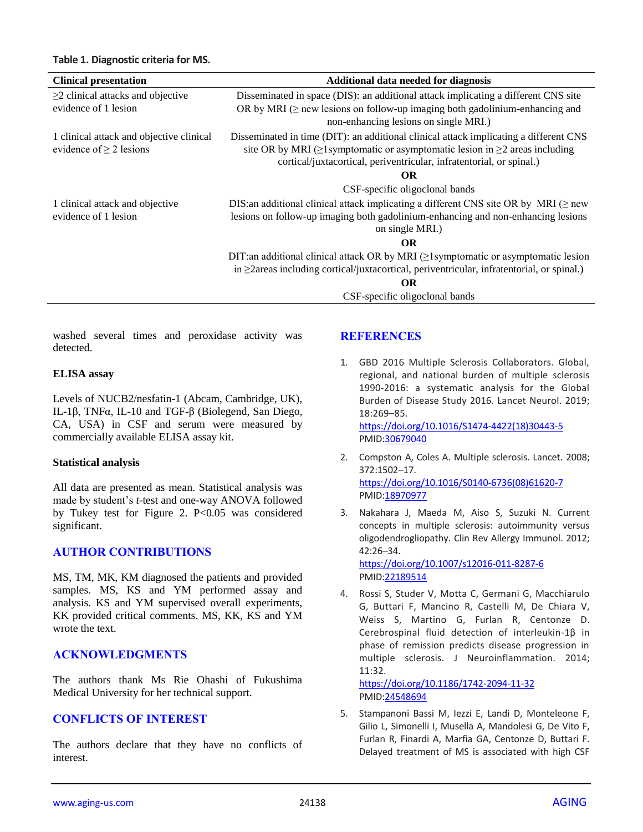| <b>Clinical presentation</b>                                             | Additional data needed for diagnosis                                                                                                                                                                                                                      |
|--------------------------------------------------------------------------|-----------------------------------------------------------------------------------------------------------------------------------------------------------------------------------------------------------------------------------------------------------|
| $\geq$ 2 clinical attacks and objective                                  | Disseminated in space (DIS): an additional attack implicating a different CNS site                                                                                                                                                                        |
| evidence of 1 lesion                                                     | OR by MRI ( $\geq$ new lessions on follow-up imaging both gadolinium-enhancing and<br>non-enhancing lesions on single MRI.)                                                                                                                               |
| 1 clinical attack and objective clinical<br>evidence of $\geq$ 2 lesions | Disseminated in time (DIT): an additional clinical attack implicating a different CNS<br>site OR by MRI ( $\geq$ 1 symptomatic or asymptomatic lesion in $\geq$ 2 areas including<br>cortical/juxtacortical, periventricular, infratentorial, or spinal.) |
|                                                                          | <b>OR</b>                                                                                                                                                                                                                                                 |
|                                                                          | CSF-specific oligoclonal bands                                                                                                                                                                                                                            |
| 1 clinical attack and objective                                          | DIS: an additional clinical attack implicating a different CNS site OR by MRI ( $\geq$ new                                                                                                                                                                |
| evidence of 1 lesion                                                     | lesions on follow-up imaging both gadolinium-enhancing and non-enhancing lesions                                                                                                                                                                          |
|                                                                          | on single MRI.)                                                                                                                                                                                                                                           |
|                                                                          | OR.                                                                                                                                                                                                                                                       |
|                                                                          | DIT:an additional clinical attack OR by MRI (21 symptomatic or asymptomatic lesion<br>in $\geq$ 2areas including cortical/juxtacortical, periventricular, infratentorial, or spinal.)                                                                     |
|                                                                          | <b>OR</b>                                                                                                                                                                                                                                                 |
|                                                                          | CSF-specific oligoclonal bands                                                                                                                                                                                                                            |

washed several times and peroxidase activity was detected.

#### **ELISA assay**

Levels of NUCB2/nesfatin-1 (Abcam, Cambridge, UK), IL-1β, TNFα, IL-10 and TGF-β (Biolegend, San Diego, CA, USA) in CSF and serum were measured by commercially available ELISA assay kit.

#### **Statistical analysis**

All data are presented as mean. Statistical analysis was made by student's *t*-test and one-way ANOVA followed by Tukey test for Figure 2. P<0.05 was considered significant.

# **AUTHOR CONTRIBUTIONS**

MS, TM, MK, KM diagnosed the patients and provided samples. MS, KS and YM performed assay and analysis. KS and YM supervised overall experiments, KK provided critical comments. MS, KK, KS and YM wrote the text.

# **ACKNOWLEDGMENTS**

The authors thank Ms Rie Ohashi of Fukushima Medical University for her technical support.

# **CONFLICTS OF INTEREST**

The authors declare that they have no conflicts of interest.

# **REFERENCES**

- 1. GBD 2016 Multiple Sclerosis Collaborators. Global, regional, and national burden of multiple sclerosis 1990-2016: a systematic analysis for the Global Burden of Disease Study 2016. Lancet Neurol. 2019; 18:269–85. [https://doi.org/10.1016/S1474-4422\(18\)30443-5](https://doi.org/10.1016/S1474-4422(18)30443-5) PMI[D:30679040](https://pubmed.ncbi.nlm.nih.gov/30679040)
- 2. Compston A, Coles A. Multiple sclerosis. Lancet. 2008; 372:1502–17. [https://doi.org/10.1016/S0140-6736\(08\)61620-7](https://doi.org/10.1016/S0140-6736(08)61620-7) PMI[D:18970977](https://pubmed.ncbi.nlm.nih.gov/18970977)
- 3. Nakahara J, Maeda M, Aiso S, Suzuki N. Current concepts in multiple sclerosis: autoimmunity versus oligodendrogliopathy. Clin Rev Allergy Immunol. 2012; 42:26–34.

<https://doi.org/10.1007/s12016-011-8287-6> PMI[D:22189514](https://pubmed.ncbi.nlm.nih.gov/22189514)

4. Rossi S, Studer V, Motta C, Germani G, Macchiarulo G, Buttari F, Mancino R, Castelli M, De Chiara V, Weiss S, Martino G, Furlan R, Centonze D. Cerebrospinal fluid detection of interleukin-1β in phase of remission predicts disease progression in multiple sclerosis. J Neuroinflammation. 2014; 11:32.

<https://doi.org/10.1186/1742-2094-11-32> PMI[D:24548694](https://pubmed.ncbi.nlm.nih.gov/24548694)

5. Stampanoni Bassi M, Iezzi E, Landi D, Monteleone F, Gilio L, Simonelli I, Musella A, Mandolesi G, De Vito F, Furlan R, Finardi A, Marfia GA, Centonze D, Buttari F. Delayed treatment of MS is associated with high CSF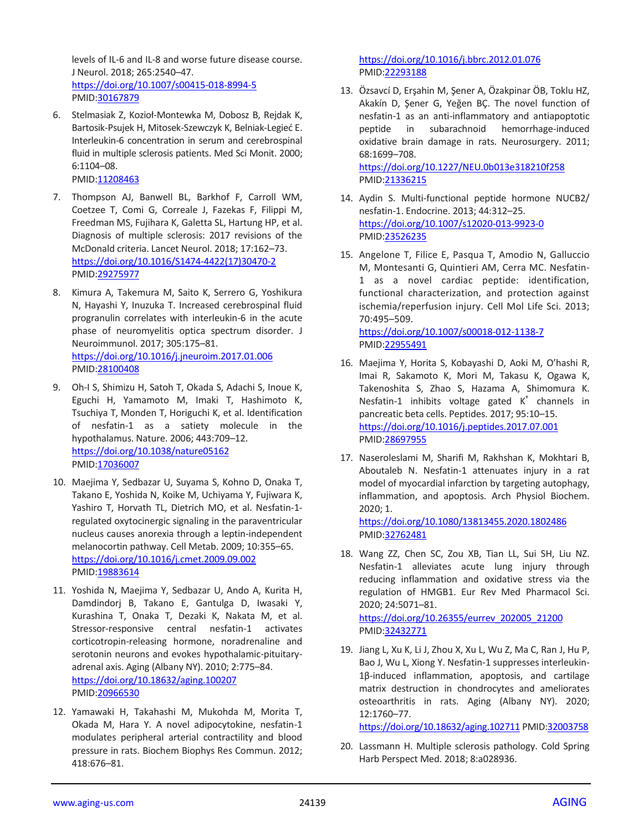levels of IL-6 and IL-8 and worse future disease course. J Neurol. 2018; 265:2540–47. <https://doi.org/10.1007/s00415-018-8994-5> PMID[:30167879](https://pubmed.ncbi.nlm.nih.gov/30167879)

6. Stelmasiak Z, Kozioł-Montewka M, Dobosz B, Rejdak K, Bartosik-Psujek H, Mitosek-Szewczyk K, Belniak-Legieć E. Interleukin-6 concentration in serum and cerebrospinal fluid in multiple sclerosis patients. Med Sci Monit. 2000; 6:1104–08.

PMID[:11208463](https://pubmed.ncbi.nlm.nih.gov/11208463)

- 7. Thompson AJ, Banwell BL, Barkhof F, Carroll WM, Coetzee T, Comi G, Correale J, Fazekas F, Filippi M, Freedman MS, Fujihara K, Galetta SL, Hartung HP, et al. Diagnosis of multiple sclerosis: 2017 revisions of the McDonald criteria. Lancet Neurol. 2018; 17:162–73. [https://doi.org/10.1016/S1474-4422\(17\)30470-2](https://doi.org/10.1016/S1474-4422(17)30470-2) PMID[:29275977](https://pubmed.ncbi.nlm.nih.gov/29275977)
- 8. Kimura A, Takemura M, Saito K, Serrero G, Yoshikura N, Hayashi Y, Inuzuka T. Increased cerebrospinal fluid progranulin correlates with interleukin-6 in the acute phase of neuromyelitis optica spectrum disorder. J Neuroimmunol. 2017; 305:175–81. <https://doi.org/10.1016/j.jneuroim.2017.01.006> PMID[:28100408](https://pubmed.ncbi.nlm.nih.gov/28100408)
- 9. Oh-I S, Shimizu H, Satoh T, Okada S, Adachi S, Inoue K, Eguchi H, Yamamoto M, Imaki T, Hashimoto K, Tsuchiya T, Monden T, Horiguchi K, et al. Identification of nesfatin-1 as a satiety molecule in the hypothalamus. Nature. 2006; 443:709–12. <https://doi.org/10.1038/nature05162> PMID[:17036007](https://pubmed.ncbi.nlm.nih.gov/17036007)
- 10. Maejima Y, Sedbazar U, Suyama S, Kohno D, Onaka T, Takano E, Yoshida N, Koike M, Uchiyama Y, Fujiwara K, Yashiro T, Horvath TL, Dietrich MO, et al. Nesfatin-1 regulated oxytocinergic signaling in the paraventricular nucleus causes anorexia through a leptin-independent melanocortin pathway. Cell Metab. 2009; 10:355–65. <https://doi.org/10.1016/j.cmet.2009.09.002> PMID[:19883614](https://pubmed.ncbi.nlm.nih.gov/19883614)
- 11. Yoshida N, Maejima Y, Sedbazar U, Ando A, Kurita H, Damdindorj B, Takano E, Gantulga D, Iwasaki Y, Kurashina T, Onaka T, Dezaki K, Nakata M, et al. Stressor-responsive central nesfatin-1 activates corticotropin-releasing hormone, noradrenaline and serotonin neurons and evokes hypothalamic-pituitaryadrenal axis. Aging (Albany NY). 2010; 2:775–84. <https://doi.org/10.18632/aging.100207> PMID[:20966530](https://pubmed.ncbi.nlm.nih.gov/20966530)
- 12. Yamawaki H, Takahashi M, Mukohda M, Morita T, Okada M, Hara Y. A novel adipocytokine, nesfatin-1 modulates peripheral arterial contractility and blood pressure in rats. Biochem Biophys Res Commun. 2012; 418:676–81.

<https://doi.org/10.1016/j.bbrc.2012.01.076> PMI[D:22293188](https://pubmed.ncbi.nlm.nih.gov/22293188)

13. Özsavcí D, Erşahin M, Şener A, Özakpinar ÖB, Toklu HZ, Akakín D, Şener G, Yeğen BÇ. The novel function of nesfatin-1 as an anti-inflammatory and antiapoptotic peptide in subarachnoid hemorrhage-induced oxidative brain damage in rats. Neurosurgery. 2011; 68:1699–708. <https://doi.org/10.1227/NEU.0b013e318210f258>

PMI[D:21336215](https://pubmed.ncbi.nlm.nih.gov/21336215)

- 14. Aydin S. Multi-functional peptide hormone NUCB2/ nesfatin-1. Endocrine. 2013; 44:312–25. <https://doi.org/10.1007/s12020-013-9923-0> PMI[D:23526235](https://pubmed.ncbi.nlm.nih.gov/23526235)
- 15. Angelone T, Filice E, Pasqua T, Amodio N, Galluccio M, Montesanti G, Quintieri AM, Cerra MC. Nesfatin-1 as a novel cardiac peptide: identification, functional characterization, and protection against ischemia/reperfusion injury. Cell Mol Life Sci. 2013; 70:495–509. <https://doi.org/10.1007/s00018-012-1138-7>

PMI[D:22955491](https://pubmed.ncbi.nlm.nih.gov/22955491)

- 16. Maejima Y, Horita S, Kobayashi D, Aoki M, O'hashi R, Imai R, Sakamoto K, Mori M, Takasu K, Ogawa K, Takenoshita S, Zhao S, Hazama A, Shimomura K. Nesfatin-1 inhibits voltage gated  $K^+$  channels in pancreatic beta cells. Peptides. 2017; 95:10–15. <https://doi.org/10.1016/j.peptides.2017.07.001> PMI[D:28697955](https://pubmed.ncbi.nlm.nih.gov/28697955)
- 17. Naseroleslami M, Sharifi M, Rakhshan K, Mokhtari B, Aboutaleb N. Nesfatin-1 attenuates injury in a rat model of myocardial infarction by targeting autophagy, inflammation, and apoptosis. Arch Physiol Biochem. 2020; 1.

<https://doi.org/10.1080/13813455.2020.1802486> PMI[D:32762481](https://pubmed.ncbi.nlm.nih.gov/32762481)

- 18. Wang ZZ, Chen SC, Zou XB, Tian LL, Sui SH, Liu NZ. Nesfatin-1 alleviates acute lung injury through reducing inflammation and oxidative stress via the regulation of HMGB1. Eur Rev Med Pharmacol Sci. 2020; 24:5071–81. [https://doi.org/10.26355/eurrev\\_202005\\_21200](https://doi.org/10.26355/eurrev_202005_21200) PMI[D:32432771](https://pubmed.ncbi.nlm.nih.gov/32432771)
- 19. Jiang L, Xu K, Li J, Zhou X, Xu L, Wu Z, Ma C, Ran J, Hu P, Bao J, Wu L, Xiong Y. Nesfatin-1 suppresses interleukin-1β-induced inflammation, apoptosis, and cartilage matrix destruction in chondrocytes and ameliorates osteoarthritis in rats. Aging (Albany NY). 2020; 12:1760–77.

<https://doi.org/10.18632/aging.102711> PMI[D:32003758](https://pubmed.ncbi.nlm.nih.gov/32003758)

20. Lassmann H. Multiple sclerosis pathology. Cold Spring Harb Perspect Med. 2018; 8:a028936.